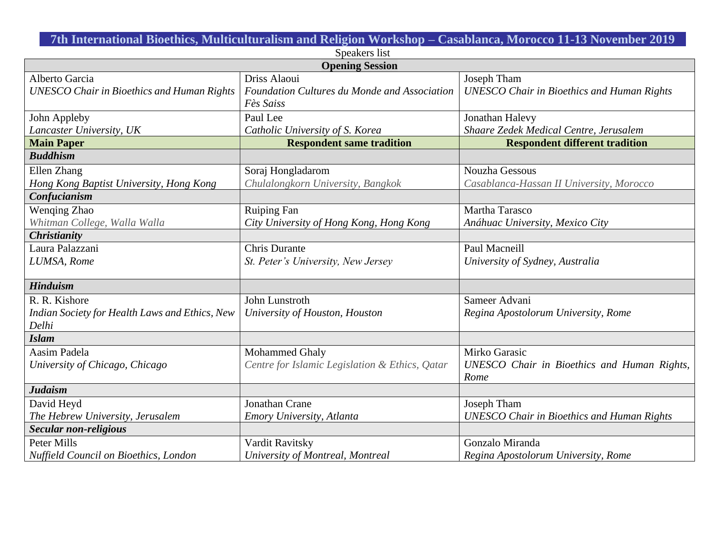**7th International Bioethics, Multiculturalism and Religion Workshop – Casablanca, Morocco 11-13 November 2019**

| Speakers list                                     |                                                |                                                   |
|---------------------------------------------------|------------------------------------------------|---------------------------------------------------|
| <b>Opening Session</b>                            |                                                |                                                   |
| Alberto Garcia                                    | Driss Alaoui                                   | Joseph Tham                                       |
| <b>UNESCO Chair in Bioethics and Human Rights</b> | Foundation Cultures du Monde and Association   | <b>UNESCO Chair in Bioethics and Human Rights</b> |
|                                                   | Fès Saiss                                      |                                                   |
| John Appleby                                      | Paul Lee                                       | Jonathan Halevy                                   |
| Lancaster University, UK                          | Catholic University of S. Korea                | Shaare Zedek Medical Centre, Jerusalem            |
| <b>Main Paper</b>                                 | <b>Respondent same tradition</b>               | <b>Respondent different tradition</b>             |
| <b>Buddhism</b>                                   |                                                |                                                   |
| Ellen Zhang                                       | Soraj Hongladarom                              | Nouzha Gessous                                    |
| Hong Kong Baptist University, Hong Kong           | Chulalongkorn University, Bangkok              | Casablanca-Hassan II University, Morocco          |
| Confucianism                                      |                                                |                                                   |
| Wenqing Zhao                                      | <b>Ruiping Fan</b>                             | Martha Tarasco                                    |
| Whitman College, Walla Walla                      | City University of Hong Kong, Hong Kong        | Anáhuac University, Mexico City                   |
| <b>Christianity</b>                               |                                                |                                                   |
| Laura Palazzani                                   | <b>Chris Durante</b>                           | Paul Macneill                                     |
| LUMSA, Rome                                       | St. Peter's University, New Jersey             | University of Sydney, Australia                   |
|                                                   |                                                |                                                   |
| <b>Hinduism</b>                                   |                                                |                                                   |
| R. R. Kishore                                     | John Lunstroth                                 | Sameer Advani                                     |
| Indian Society for Health Laws and Ethics, New    | University of Houston, Houston                 | Regina Apostolorum University, Rome               |
| Delhi                                             |                                                |                                                   |
| <b>Islam</b>                                      |                                                |                                                   |
| Aasim Padela                                      | Mohammed Ghaly                                 | Mirko Garasic                                     |
| University of Chicago, Chicago                    | Centre for Islamic Legislation & Ethics, Qatar | UNESCO Chair in Bioethics and Human Rights,       |
|                                                   |                                                | Rome                                              |
| <b>Judaism</b>                                    |                                                |                                                   |
| David Heyd                                        | <b>Jonathan Crane</b>                          | Joseph Tham                                       |
| The Hebrew University, Jerusalem                  | Emory University, Atlanta                      | <b>UNESCO Chair in Bioethics and Human Rights</b> |
| <b>Secular non-religious</b>                      |                                                |                                                   |
| Peter Mills                                       | Vardit Ravitsky                                | Gonzalo Miranda                                   |
| <b>Nuffield Council on Bioethics, London</b>      | University of Montreal, Montreal               | Regina Apostolorum University, Rome               |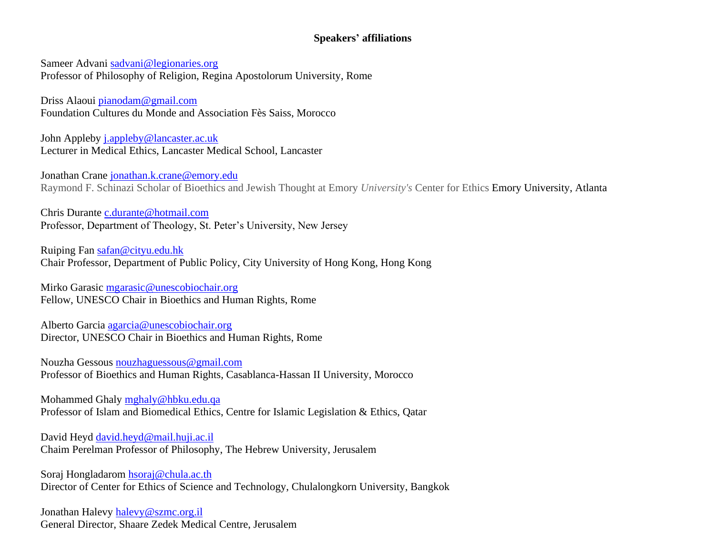## **Speakers' affiliations**

Sameer Advani [sadvani@legionaries.org](mailto:sadvani@legionaries.org) Professor of Philosophy of Religion, Regina Apostolorum University, Rome

Driss Alaoui [pianodam@gmail.com](mailto:pianodam@gmail.com) Foundation Cultures du Monde and Association Fès Saiss, Morocco

John Appleby [j.appleby@lancaster.ac.uk](mailto:j.appleby@lancaster.ac.uk) Lecturer in Medical Ethics, Lancaster Medical School, Lancaster

Jonathan Crane [jonathan.k.crane@emory.edu](mailto:jonathan.k.crane@emory.edu) Raymond F. Schinazi Scholar of Bioethics and Jewish Thought at Emory *University's* Center for Ethics Emory University, Atlanta

Chris Durante [c.durante@hotmail.com](mailto:c.durante@hotmail.com) Professor, Department of Theology, St. Peter's University, New Jersey

Ruiping Fan [safan@cityu.edu.hk](mailto:safan@cityu.edu.hk) Chair Professor, Department of Public Policy, City University of Hong Kong, Hong Kong

Mirko Garasic [mgarasic@unescobiochair.org](mailto:mgarasic@unescobiochair.org) Fellow, UNESCO Chair in Bioethics and Human Rights, Rome

Alberto Garcia [agarcia@unescobiochair.org](mailto:agarcia@unescobiochair.org) Director, UNESCO Chair in Bioethics and Human Rights, Rome

Nouzha Gessous [nouzhaguessous@gmail.com](mailto:nouzhaguessous@gmail.com) Professor of Bioethics and Human Rights, Casablanca-Hassan II University, Morocco

Mohammed Ghaly [mghaly@hbku.edu.qa](mailto:mghaly@hbku.edu.qa) Professor of Islam and Biomedical Ethics, Centre for Islamic Legislation & Ethics, Qatar

David Heyd [david.heyd@mail.huji.ac.il](mailto:david.heyd@mail.huji.ac.il) Chaim Perelman Professor of Philosophy, The Hebrew University, Jerusalem

Soraj Hongladarom [hsoraj@chula.ac.th](mailto:hsoraj@chula.ac.th) Director of Center for Ethics of Science and Technology, Chulalongkorn University, Bangkok

Jonathan Halevy [halevy@szmc.org.il](mailto:halevy@szmc.org.il) General Director, Shaare Zedek Medical Centre, Jerusalem